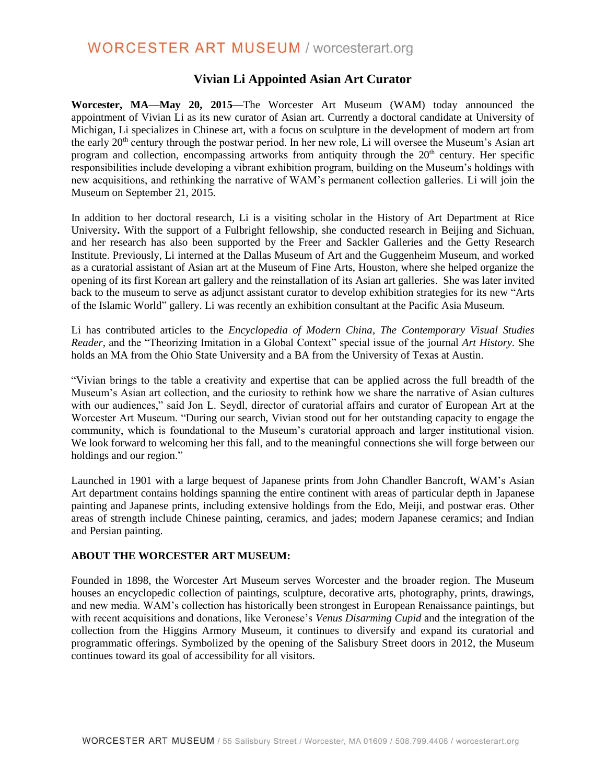# **WORCESTER ART MUSEUM / worcesterart.org**

## **Vivian Li Appointed Asian Art Curator**

**Worcester, MA—May 20, 2015—**The Worcester Art Museum (WAM) today announced the appointment of Vivian Li as its new curator of Asian art. Currently a doctoral candidate at University of Michigan, Li specializes in Chinese art, with a focus on sculpture in the development of modern art from the early 20th century through the postwar period. In her new role, Li will oversee the Museum's Asian art program and collection, encompassing artworks from antiquity through the 20<sup>th</sup> century. Her specific responsibilities include developing a vibrant exhibition program, building on the Museum's holdings with new acquisitions, and rethinking the narrative of WAM's permanent collection galleries. Li will join the Museum on September 21, 2015.

In addition to her doctoral research, Li is a visiting scholar in the History of Art Department at Rice University**.** With the support of a Fulbright fellowship, she conducted research in Beijing and Sichuan, and her research has also been supported by the Freer and Sackler Galleries and the Getty Research Institute. Previously, Li interned at the Dallas Museum of Art and the Guggenheim Museum, and worked as a curatorial assistant of Asian art at the Museum of Fine Arts, Houston, where she helped organize the opening of its first Korean art gallery and the reinstallation of its Asian art galleries. She was later invited back to the museum to serve as adjunct assistant curator to develop exhibition strategies for its new "Arts of the Islamic World" gallery. Li was recently an exhibition consultant at the Pacific Asia Museum.

Li has contributed articles to the *Encyclopedia of Modern China*, *The Contemporary Visual Studies Reader*, and the "Theorizing Imitation in a Global Context" special issue of the journal *Art History.* She holds an MA from the Ohio State University and a BA from the University of Texas at Austin.

"Vivian brings to the table a creativity and expertise that can be applied across the full breadth of the Museum's Asian art collection, and the curiosity to rethink how we share the narrative of Asian cultures with our audiences," said Jon L. Seydl, director of curatorial affairs and curator of European Art at the Worcester Art Museum. "During our search, Vivian stood out for her outstanding capacity to engage the community, which is foundational to the Museum's curatorial approach and larger institutional vision. We look forward to welcoming her this fall, and to the meaningful connections she will forge between our holdings and our region."

Launched in 1901 with a large bequest of Japanese prints from John Chandler Bancroft, WAM's Asian Art department contains holdings spanning the entire continent with areas of particular depth in Japanese painting and Japanese prints, including extensive holdings from the Edo, Meiji, and postwar eras. Other areas of strength include Chinese painting, ceramics, and jades; modern Japanese ceramics; and Indian and Persian painting.

#### **ABOUT THE WORCESTER ART MUSEUM:**

Founded in 1898, the Worcester Art Museum serves Worcester and the broader region. The Museum houses an encyclopedic collection of paintings, sculpture, decorative arts, photography, prints, drawings, and new media. WAM's collection has historically been strongest in European Renaissance paintings, but with recent acquisitions and donations, like Veronese's *Venus Disarming Cupid* and the integration of the collection from the Higgins Armory Museum, it continues to diversify and expand its curatorial and programmatic offerings. Symbolized by the opening of the Salisbury Street doors in 2012, the Museum continues toward its goal of accessibility for all visitors.